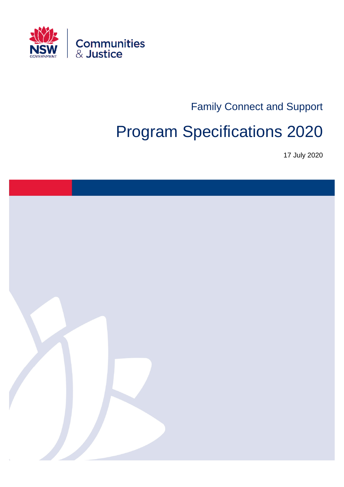

Family Connect and Support

# Program Specifications 2020

17 July 2020

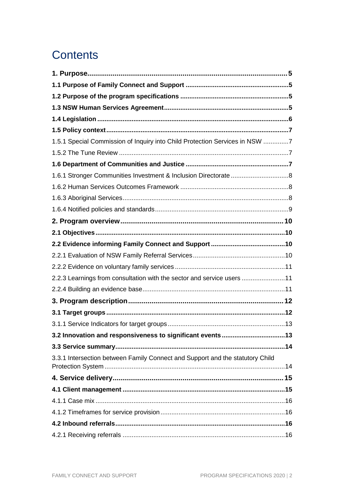## **Contents**

| 1.5.1 Special Commission of Inquiry into Child Protection Services in NSW 7   |  |
|-------------------------------------------------------------------------------|--|
|                                                                               |  |
|                                                                               |  |
| 1.6.1 Stronger Communities Investment & Inclusion Directorate 8               |  |
|                                                                               |  |
|                                                                               |  |
|                                                                               |  |
|                                                                               |  |
|                                                                               |  |
|                                                                               |  |
|                                                                               |  |
|                                                                               |  |
| 2.2.3 Learnings from consultation with the sector and service users 11        |  |
|                                                                               |  |
|                                                                               |  |
|                                                                               |  |
|                                                                               |  |
|                                                                               |  |
|                                                                               |  |
| 3.3.1 Intersection between Family Connect and Support and the statutory Child |  |
|                                                                               |  |
|                                                                               |  |
|                                                                               |  |
|                                                                               |  |
|                                                                               |  |
|                                                                               |  |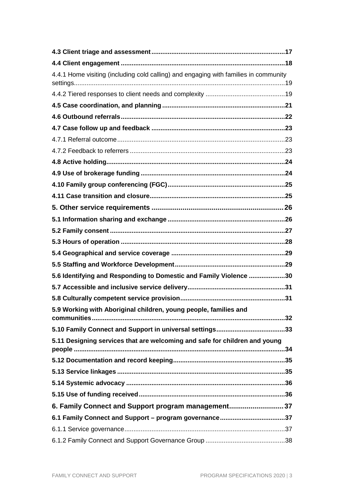| 4.4.1 Home visiting (including cold calling) and engaging with families in community |  |
|--------------------------------------------------------------------------------------|--|
|                                                                                      |  |
|                                                                                      |  |
|                                                                                      |  |
|                                                                                      |  |
|                                                                                      |  |
|                                                                                      |  |
|                                                                                      |  |
|                                                                                      |  |
|                                                                                      |  |
|                                                                                      |  |
|                                                                                      |  |
|                                                                                      |  |
|                                                                                      |  |
|                                                                                      |  |
|                                                                                      |  |
|                                                                                      |  |
| 5.6 Identifying and Responding to Domestic and Family Violence 30                    |  |
|                                                                                      |  |
|                                                                                      |  |
| 5.9 Working with Aboriginal children, young people, families and                     |  |
|                                                                                      |  |
| 5.11 Designing services that are welcoming and safe for children and young           |  |
|                                                                                      |  |
|                                                                                      |  |
|                                                                                      |  |
|                                                                                      |  |
| 6. Family Connect and Support program management37                                   |  |
|                                                                                      |  |
|                                                                                      |  |
|                                                                                      |  |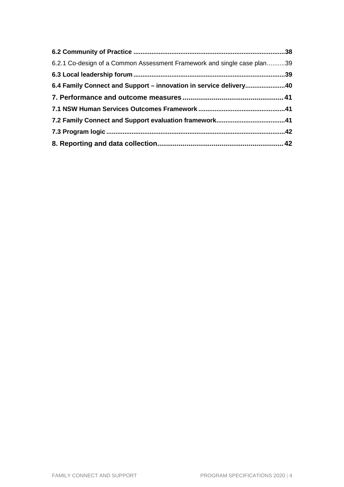| 6.2.1 Co-design of a Common Assessment Framework and single case plan39 |  |
|-------------------------------------------------------------------------|--|
|                                                                         |  |
| 6.4 Family Connect and Support - innovation in service delivery40       |  |
|                                                                         |  |
|                                                                         |  |
|                                                                         |  |
|                                                                         |  |
|                                                                         |  |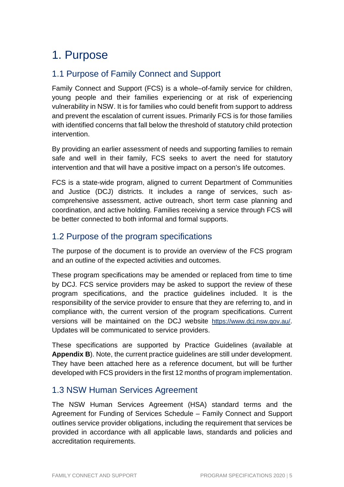## 1. Purpose

## 1.1 Purpose of Family Connect and Support

Family Connect and Support (FCS) is a whole–of-family service for children, young people and their families experiencing or at risk of experiencing vulnerability in NSW. It is for families who could benefit from support to address and prevent the escalation of current issues. Primarily FCS is for those families with identified concerns that fall below the threshold of statutory child protection intervention.

By providing an earlier assessment of needs and supporting families to remain safe and well in their family, FCS seeks to avert the need for statutory intervention and that will have a positive impact on a person's life outcomes.

FCS is a state-wide program, aligned to current Department of Communities and Justice (DCJ) districts. It includes a range of services, such ascomprehensive assessment, active outreach, short term case planning and coordination, and active holding. Families receiving a service through FCS will be better connected to both informal and formal supports.

## 1.2 Purpose of the program specifications

The purpose of the document is to provide an overview of the FCS program and an outline of the expected activities and outcomes.

These program specifications may be amended or replaced from time to time by DCJ. FCS service providers may be asked to support the review of these program specifications, and the practice guidelines included. It is the responsibility of the service provider to ensure that they are referring to, and in compliance with, the current version of the program specifications. Current versions will be maintained on the DCJ website https://www.dcj.nsw.gov.au/. Updates will be communicated to service providers.

These specifications are supported by Practice Guidelines (available at **Appendix B**). Note, the current practice guidelines are still under development. They have been attached here as a reference document, but will be further developed with FCS providers in the first 12 months of program implementation.

## 1.3 NSW Human Services Agreement

The NSW Human Services Agreement (HSA) standard terms and the Agreement for Funding of Services Schedule – Family Connect and Support outlines service provider obligations, including the requirement that services be provided in accordance with all applicable laws, standards and policies and accreditation requirements.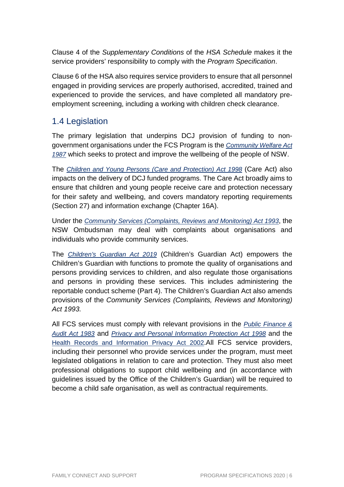Clause 4 of the Supplementary Conditions of the HSA Schedule makes it the service providers' responsibility to comply with the *Program Specification*.

Clause 6 of the HSA also requires service providers to ensure that all personnel engaged in providing services are properly authorised, accredited, trained and experienced to provide the services, and have completed all mandatory preemployment screening, including a working with children check clearance.

## 1.4 Legislation

The primary legislation that underpins DCJ provision of funding to nongovernment organisations under the FCS Program is the Community Welfare Act 1987 which seeks to protect and improve the wellbeing of the people of NSW.

The Children and Young Persons (Care and Protection) Act 1998 (Care Act) also impacts on the delivery of DCJ funded programs. The Care Act broadly aims to ensure that children and young people receive care and protection necessary for their safety and wellbeing, and covers mandatory reporting requirements (Section 27) and information exchange (Chapter 16A).

Under the Community Services (Complaints, Reviews and Monitoring) Act 1993, the NSW Ombudsman may deal with complaints about organisations and individuals who provide community services.

The Children's Guardian Act 2019 (Children's Guardian Act) empowers the Children's Guardian with functions to promote the quality of organisations and persons providing services to children, and also regulate those organisations and persons in providing these services. This includes administering the reportable conduct scheme (Part 4). The Children's Guardian Act also amends provisions of the Community Services (Complaints, Reviews and Monitoring) Act 1993.

All FCS services must comply with relevant provisions in the *Public Finance &* Audit Act 1983 and Privacy and Personal Information Protection Act 1998 and the Health Records and Information Privacy Act 2002.All FCS service providers, including their personnel who provide services under the program, must meet legislated obligations in relation to care and protection. They must also meet professional obligations to support child wellbeing and (in accordance with guidelines issued by the Office of the Children's Guardian) will be required to become a child safe organisation, as well as contractual requirements.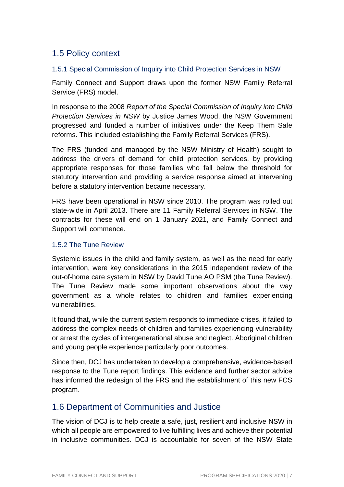## 1.5 Policy context

#### 1.5.1 Special Commission of Inquiry into Child Protection Services in NSW

Family Connect and Support draws upon the former NSW Family Referral Service (FRS) model.

In response to the 2008 Report of the Special Commission of Inquiry into Child Protection Services in NSW by Justice James Wood, the NSW Government progressed and funded a number of initiatives under the Keep Them Safe reforms. This included establishing the Family Referral Services (FRS).

The FRS (funded and managed by the NSW Ministry of Health) sought to address the drivers of demand for child protection services, by providing appropriate responses for those families who fall below the threshold for statutory intervention and providing a service response aimed at intervening before a statutory intervention became necessary.

FRS have been operational in NSW since 2010. The program was rolled out state-wide in April 2013. There are 11 Family Referral Services in NSW. The contracts for these will end on 1 January 2021, and Family Connect and Support will commence.

#### 1.5.2 The Tune Review

Systemic issues in the child and family system, as well as the need for early intervention, were key considerations in the 2015 independent review of the out-of-home care system in NSW by David Tune AO PSM (the Tune Review). The Tune Review made some important observations about the way government as a whole relates to children and families experiencing vulnerabilities.

It found that, while the current system responds to immediate crises, it failed to address the complex needs of children and families experiencing vulnerability or arrest the cycles of intergenerational abuse and neglect. Aboriginal children and young people experience particularly poor outcomes.

Since then, DCJ has undertaken to develop a comprehensive, evidence-based response to the Tune report findings. This evidence and further sector advice has informed the redesign of the FRS and the establishment of this new FCS program.

## 1.6 Department of Communities and Justice

The vision of DCJ is to help create a safe, just, resilient and inclusive NSW in which all people are empowered to live fulfilling lives and achieve their potential in inclusive communities. DCJ is accountable for seven of the NSW State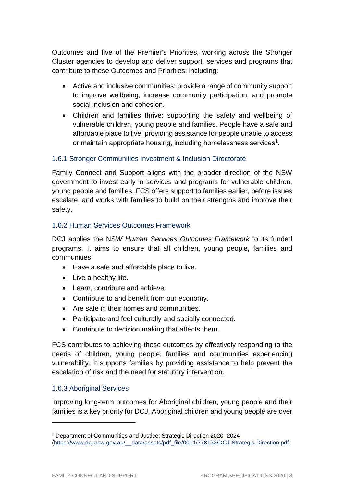Outcomes and five of the Premier's Priorities, working across the Stronger Cluster agencies to develop and deliver support, services and programs that contribute to these Outcomes and Priorities, including:

- Active and inclusive communities: provide a range of community support to improve wellbeing, increase community participation, and promote social inclusion and cohesion.
- Children and families thrive: supporting the safety and wellbeing of vulnerable children, young people and families. People have a safe and affordable place to live: providing assistance for people unable to access or maintain appropriate housing, including homelessness services<sup>1</sup>.

#### 1.6.1 Stronger Communities Investment & Inclusion Directorate

Family Connect and Support aligns with the broader direction of the NSW government to invest early in services and programs for vulnerable children, young people and families. FCS offers support to families earlier, before issues escalate, and works with families to build on their strengths and improve their safety.

#### 1.6.2 Human Services Outcomes Framework

DCJ applies the NSW Human Services Outcomes Framework to its funded programs. It aims to ensure that all children, young people, families and communities:

- Have a safe and affordable place to live.
- Live a healthy life.
- Learn, contribute and achieve.
- Contribute to and benefit from our economy.
- Are safe in their homes and communities.
- Participate and feel culturally and socially connected.
- Contribute to decision making that affects them.

FCS contributes to achieving these outcomes by effectively responding to the needs of children, young people, families and communities experiencing vulnerability. It supports families by providing assistance to help prevent the escalation of risk and the need for statutory intervention.

#### 1.6.3 Aboriginal Services

l

Improving long-term outcomes for Aboriginal children, young people and their families is a key priority for DCJ. Aboriginal children and young people are over

<sup>1</sup> Department of Communities and Justice: Strategic Direction 2020- 2024 (https://www.dcj.nsw.gov.au/\_\_data/assets/pdf\_file/0011/778133/DCJ-Strategic-Direction.pdf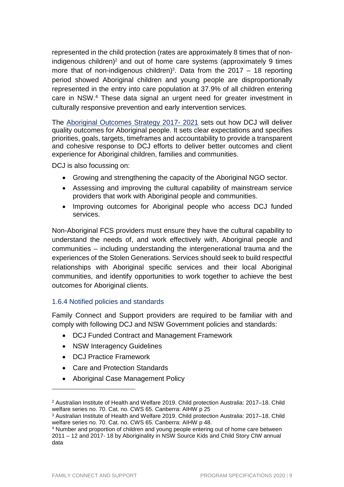represented in the child protection (rates are approximately 8 times that of nonindigenous children)<sup>2</sup> and out of home care systems (approximately 9 times more that of non-indigenous children)<sup>3</sup>. Data from the 2017  $-$  18 reporting period showed Aboriginal children and young people are disproportionally represented in the entry into care population at 37.9% of all children entering care in NSW.<sup>4</sup> These data signal an urgent need for greater investment in culturally responsive prevention and early intervention services.

The Aboriginal Outcomes Strategy 2017- 2021 sets out how DCJ will deliver quality outcomes for Aboriginal people. It sets clear expectations and specifies priorities, goals, targets, timeframes and accountability to provide a transparent and cohesive response to DCJ efforts to deliver better outcomes and client experience for Aboriginal children, families and communities.

DCJ is also focussing on:

- Growing and strengthening the capacity of the Aboriginal NGO sector.
- Assessing and improving the cultural capability of mainstream service providers that work with Aboriginal people and communities.
- Improving outcomes for Aboriginal people who access DCJ funded services.

Non-Aboriginal FCS providers must ensure they have the cultural capability to understand the needs of, and work effectively with, Aboriginal people and communities – including understanding the intergenerational trauma and the experiences of the Stolen Generations. Services should seek to build respectful relationships with Aboriginal specific services and their local Aboriginal communities, and identify opportunities to work together to achieve the best outcomes for Aboriginal clients.

#### 1.6.4 Notified policies and standards

Family Connect and Support providers are required to be familiar with and comply with following DCJ and NSW Government policies and standards:

- DCJ Funded Contract and Management Framework
- NSW Interagency Guidelines
- DCJ Practice Framework
- Care and Protection Standards
- Aboriginal Case Management Policy

<sup>2</sup> Australian Institute of Health and Welfare 2019. Child protection Australia: 2017–18. Child welfare series no. 70. Cat. no. CWS 65. Canberra: AIHW p 25

<sup>3</sup> Australian Institute of Health and Welfare 2019. Child protection Australia: 2017–18. Child welfare series no. 70. Cat. no. CWS 65. Canberra: AIHW p 48.

<sup>4</sup> Number and proportion of children and young people entering out of home care between 2011 – 12 and 2017- 18 by Aboriginality in NSW Source Kids and Child Story CIW annual data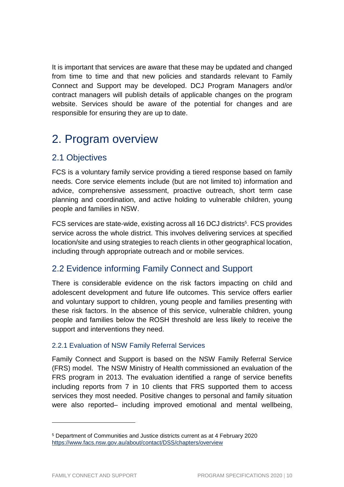It is important that services are aware that these may be updated and changed from time to time and that new policies and standards relevant to Family Connect and Support may be developed. DCJ Program Managers and/or contract managers will publish details of applicable changes on the program website. Services should be aware of the potential for changes and are responsible for ensuring they are up to date.

## 2. Program overview

## 2.1 Objectives

FCS is a voluntary family service providing a tiered response based on family needs. Core service elements include (but are not limited to) information and advice, comprehensive assessment, proactive outreach, short term case planning and coordination, and active holding to vulnerable children, young people and families in NSW.

FCS services are state-wide, existing across all 16 DCJ districts<sup>5</sup>. FCS provides service across the whole district. This involves delivering services at specified location/site and using strategies to reach clients in other geographical location, including through appropriate outreach and or mobile services.

## 2.2 Evidence informing Family Connect and Support

There is considerable evidence on the risk factors impacting on child and adolescent development and future life outcomes. This service offers earlier and voluntary support to children, young people and families presenting with these risk factors. In the absence of this service, vulnerable children, young people and families below the ROSH threshold are less likely to receive the support and interventions they need.

#### 2.2.1 Evaluation of NSW Family Referral Services

Family Connect and Support is based on the NSW Family Referral Service (FRS) model. The NSW Ministry of Health commissioned an evaluation of the FRS program in 2013. The evaluation identified a range of service benefits including reports from 7 in 10 clients that FRS supported them to access services they most needed. Positive changes to personal and family situation were also reported– including improved emotional and mental wellbeing,

<sup>5</sup> Department of Communities and Justice districts current as at 4 February 2020 https://www.facs.nsw.gov.au/about/contact/DSS/chapters/overview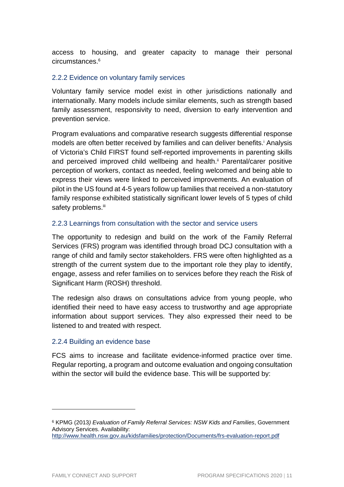access to housing, and greater capacity to manage their personal circumstances<sup>6</sup>

#### 2.2.2 Evidence on voluntary family services

Voluntary family service model exist in other jurisdictions nationally and internationally. Many models include similar elements, such as strength based family assessment, responsivity to need, diversion to early intervention and prevention service.

Program evaluations and comparative research suggests differential response models are often better received by families and can deliver benefits.<sup>†</sup> Analysis of Victoria's Child FIRST found self-reported improvements in parenting skills and perceived improved child wellbeing and health.<sup>ii</sup> Parental/carer positive perception of workers, contact as needed, feeling welcomed and being able to express their views were linked to perceived improvements. An evaluation of pilot in the US found at 4-5 years follow up families that received a non-statutory family response exhibited statistically significant lower levels of 5 types of child safety problems.iii

#### 2.2.3 Learnings from consultation with the sector and service users

The opportunity to redesign and build on the work of the Family Referral Services (FRS) program was identified through broad DCJ consultation with a range of child and family sector stakeholders. FRS were often highlighted as a strength of the current system due to the important role they play to identify, engage, assess and refer families on to services before they reach the Risk of Significant Harm (ROSH) threshold.

The redesign also draws on consultations advice from young people, who identified their need to have easy access to trustworthy and age appropriate information about support services. They also expressed their need to be listened to and treated with respect.

#### 2.2.4 Building an evidence base

FCS aims to increase and facilitate evidence-informed practice over time. Regular reporting, a program and outcome evaluation and ongoing consultation within the sector will build the evidence base. This will be supported by:

<sup>&</sup>lt;sup>6</sup> KPMG (2013) Evaluation of Family Referral Services: NSW Kids and Families, Government Advisory Services. Availability:

http://www.health.nsw.gov.au/kidsfamilies/protection/Documents/frs-evaluation-report.pdf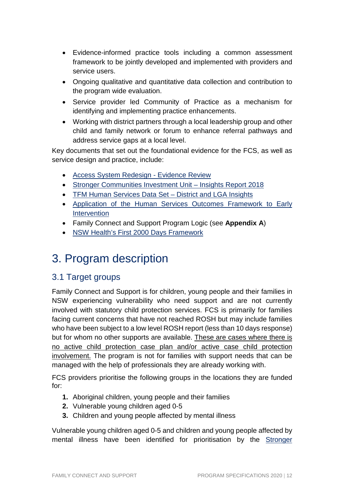- Evidence-informed practice tools including a common assessment framework to be jointly developed and implemented with providers and service users.
- Ongoing qualitative and quantitative data collection and contribution to the program wide evaluation.
- Service provider led Community of Practice as a mechanism for identifying and implementing practice enhancements.
- Working with district partners through a local leadership group and other child and family network or forum to enhance referral pathways and address service gaps at a local level.

Key documents that set out the foundational evidence for the FCS, as well as service design and practice, include:

- Access System Redesign Evidence Review
- Stronger Communities Investment Unit Insights Report 2018
- TFM Human Services Data Set District and LGA Insights
- Application of the Human Services Outcomes Framework to Early **Intervention**
- Family Connect and Support Program Logic (see **Appendix A**)
- NSW Health's First 2000 Days Framework

## 3. Program description

## 3.1 Target groups

Family Connect and Support is for children, young people and their families in NSW experiencing vulnerability who need support and are not currently involved with statutory child protection services. FCS is primarily for families facing current concerns that have not reached ROSH but may include families who have been subject to a low level ROSH report (less than 10 days response) but for whom no other supports are available. These are cases where there is no active child protection case plan and/or active case child protection involvement. The program is not for families with support needs that can be managed with the help of professionals they are already working with.

FCS providers prioritise the following groups in the locations they are funded for:

- **1.** Aboriginal children, young people and their families
- **2.** Vulnerable young children aged 0-5
- **3.** Children and young people affected by mental illness

Vulnerable young children aged 0-5 and children and young people affected by mental illness have been identified for prioritisation by the Stronger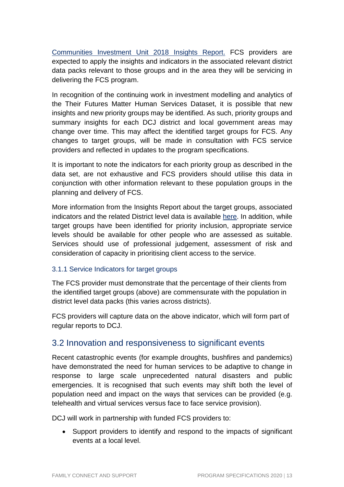Communities Investment Unit 2018 Insights Report. FCS providers are expected to apply the insights and indicators in the associated relevant district data packs relevant to those groups and in the area they will be servicing in delivering the FCS program.

In recognition of the continuing work in investment modelling and analytics of the Their Futures Matter Human Services Dataset, it is possible that new insights and new priority groups may be identified. As such, priority groups and summary insights for each DCJ district and local government areas may change over time. This may affect the identified target groups for FCS. Any changes to target groups, will be made in consultation with FCS service providers and reflected in updates to the program specifications.

It is important to note the indicators for each priority group as described in the data set, are not exhaustive and FCS providers should utilise this data in conjunction with other information relevant to these population groups in the planning and delivery of FCS.

More information from the Insights Report about the target groups, associated indicators and the related District level data is available here. In addition, while target groups have been identified for priority inclusion, appropriate service levels should be available for other people who are assessed as suitable. Services should use of professional judgement, assessment of risk and consideration of capacity in prioritising client access to the service.

#### 3.1.1 Service Indicators for target groups

The FCS provider must demonstrate that the percentage of their clients from the identified target groups (above) are commensurate with the population in district level data packs (this varies across districts).

FCS providers will capture data on the above indicator, which will form part of regular reports to DCJ.

## 3.2 Innovation and responsiveness to significant events

Recent catastrophic events (for example droughts, bushfires and pandemics) have demonstrated the need for human services to be adaptive to change in response to large scale unprecedented natural disasters and public emergencies. It is recognised that such events may shift both the level of population need and impact on the ways that services can be provided (e.g. telehealth and virtual services versus face to face service provision).

DCJ will work in partnership with funded FCS providers to:

• Support providers to identify and respond to the impacts of significant events at a local level.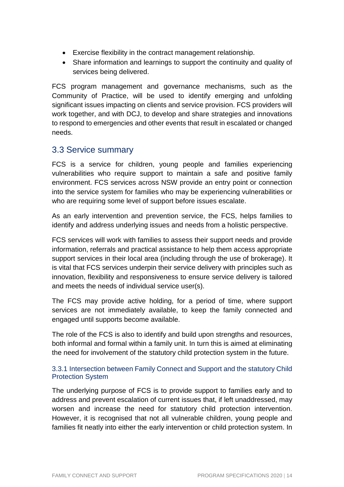- Exercise flexibility in the contract management relationship.
- Share information and learnings to support the continuity and quality of services being delivered.

FCS program management and governance mechanisms, such as the Community of Practice, will be used to identify emerging and unfolding significant issues impacting on clients and service provision. FCS providers will work together, and with DCJ, to develop and share strategies and innovations to respond to emergencies and other events that result in escalated or changed needs.

## 3.3 Service summary

FCS is a service for children, young people and families experiencing vulnerabilities who require support to maintain a safe and positive family environment. FCS services across NSW provide an entry point or connection into the service system for families who may be experiencing vulnerabilities or who are requiring some level of support before issues escalate.

As an early intervention and prevention service, the FCS, helps families to identify and address underlying issues and needs from a holistic perspective.

FCS services will work with families to assess their support needs and provide information, referrals and practical assistance to help them access appropriate support services in their local area (including through the use of brokerage). It is vital that FCS services underpin their service delivery with principles such as innovation, flexibility and responsiveness to ensure service delivery is tailored and meets the needs of individual service user(s).

The FCS may provide active holding, for a period of time, where support services are not immediately available, to keep the family connected and engaged until supports become available.

The role of the FCS is also to identify and build upon strengths and resources, both informal and formal within a family unit. In turn this is aimed at eliminating the need for involvement of the statutory child protection system in the future.

#### 3.3.1 Intersection between Family Connect and Support and the statutory Child Protection System

The underlying purpose of FCS is to provide support to families early and to address and prevent escalation of current issues that, if left unaddressed, may worsen and increase the need for statutory child protection intervention. However, it is recognised that not all vulnerable children, young people and families fit neatly into either the early intervention or child protection system. In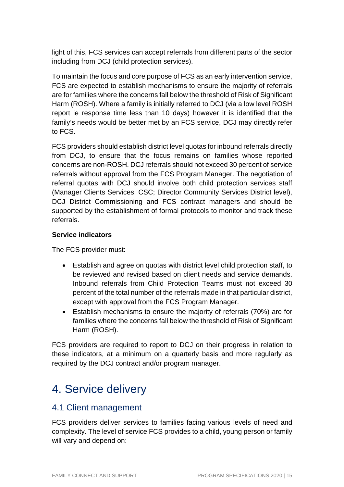light of this, FCS services can accept referrals from different parts of the sector including from DCJ (child protection services).

To maintain the focus and core purpose of FCS as an early intervention service, FCS are expected to establish mechanisms to ensure the majority of referrals are for families where the concerns fall below the threshold of Risk of Significant Harm (ROSH). Where a family is initially referred to DCJ (via a low level ROSH report ie response time less than 10 days) however it is identified that the family's needs would be better met by an FCS service, DCJ may directly refer to FCS.

FCS providers should establish district level quotas for inbound referrals directly from DCJ, to ensure that the focus remains on families whose reported concerns are non-ROSH. DCJ referrals should not exceed 30 percent of service referrals without approval from the FCS Program Manager. The negotiation of referral quotas with DCJ should involve both child protection services staff (Manager Clients Services, CSC; Director Community Services District level), DCJ District Commissioning and FCS contract managers and should be supported by the establishment of formal protocols to monitor and track these referrals.

#### **Service indicators**

The FCS provider must:

- Establish and agree on quotas with district level child protection staff, to be reviewed and revised based on client needs and service demands. Inbound referrals from Child Protection Teams must not exceed 30 percent of the total number of the referrals made in that particular district, except with approval from the FCS Program Manager.
- Establish mechanisms to ensure the majority of referrals (70%) are for families where the concerns fall below the threshold of Risk of Significant Harm (ROSH).

FCS providers are required to report to DCJ on their progress in relation to these indicators, at a minimum on a quarterly basis and more regularly as required by the DCJ contract and/or program manager.

## 4. Service delivery

## 4.1 Client management

FCS providers deliver services to families facing various levels of need and complexity. The level of service FCS provides to a child, young person or family will vary and depend on: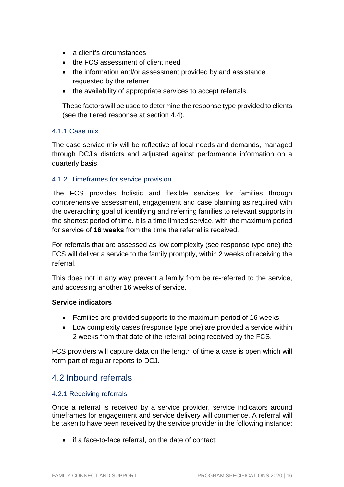- a client's circumstances
- the FCS assessment of client need
- the information and/or assessment provided by and assistance requested by the referrer
- the availability of appropriate services to accept referrals.

These factors will be used to determine the response type provided to clients (see the tiered response at section 4.4).

#### 4.1.1 Case mix

The case service mix will be reflective of local needs and demands, managed through DCJ's districts and adjusted against performance information on a quarterly basis.

#### 4.1.2 Timeframes for service provision

The FCS provides holistic and flexible services for families through comprehensive assessment, engagement and case planning as required with the overarching goal of identifying and referring families to relevant supports in the shortest period of time. It is a time limited service, with the maximum period for service of **16 weeks** from the time the referral is received.

For referrals that are assessed as low complexity (see response type one) the FCS will deliver a service to the family promptly, within 2 weeks of receiving the referral.

This does not in any way prevent a family from be re-referred to the service, and accessing another 16 weeks of service.

#### **Service indicators**

- Families are provided supports to the maximum period of 16 weeks.
- Low complexity cases (response type one) are provided a service within 2 weeks from that date of the referral being received by the FCS.

FCS providers will capture data on the length of time a case is open which will form part of regular reports to DCJ.

## 4.2 Inbound referrals

#### 4.2.1 Receiving referrals

Once a referral is received by a service provider, service indicators around timeframes for engagement and service delivery will commence. A referral will be taken to have been received by the service provider in the following instance:

• if a face-to-face referral, on the date of contact;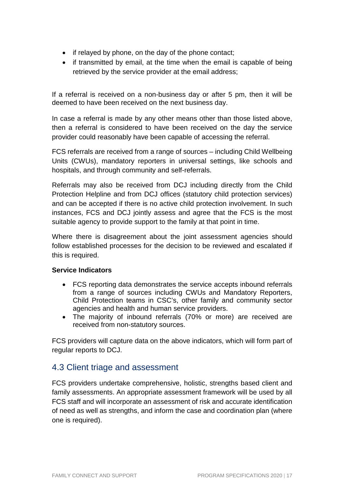- if relayed by phone, on the day of the phone contact;
- if transmitted by email, at the time when the email is capable of being retrieved by the service provider at the email address;

If a referral is received on a non-business day or after 5 pm, then it will be deemed to have been received on the next business day.

In case a referral is made by any other means other than those listed above, then a referral is considered to have been received on the day the service provider could reasonably have been capable of accessing the referral.

FCS referrals are received from a range of sources – including Child Wellbeing Units (CWUs), mandatory reporters in universal settings, like schools and hospitals, and through community and self-referrals.

Referrals may also be received from DCJ including directly from the Child Protection Helpline and from DCJ offices (statutory child protection services) and can be accepted if there is no active child protection involvement. In such instances, FCS and DCJ jointly assess and agree that the FCS is the most suitable agency to provide support to the family at that point in time.

Where there is disagreement about the joint assessment agencies should follow established processes for the decision to be reviewed and escalated if this is required.

#### **Service Indicators**

- FCS reporting data demonstrates the service accepts inbound referrals from a range of sources including CWUs and Mandatory Reporters, Child Protection teams in CSC's, other family and community sector agencies and health and human service providers.
- The majority of inbound referrals (70% or more) are received are received from non-statutory sources.

FCS providers will capture data on the above indicators, which will form part of regular reports to DCJ.

## 4.3 Client triage and assessment

FCS providers undertake comprehensive, holistic, strengths based client and family assessments. An appropriate assessment framework will be used by all FCS staff and will incorporate an assessment of risk and accurate identification of need as well as strengths, and inform the case and coordination plan (where one is required).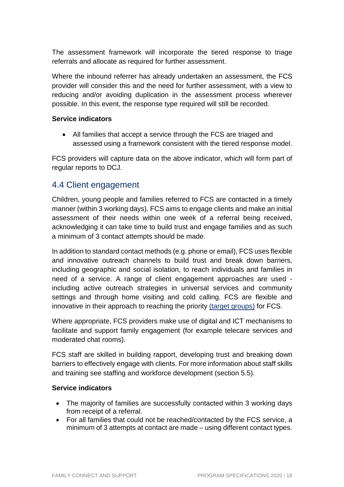The assessment framework will incorporate the tiered response to triage referrals and allocate as required for further assessment.

Where the inbound referrer has already undertaken an assessment, the FCS provider will consider this and the need for further assessment, with a view to reducing and/or avoiding duplication in the assessment process wherever possible. In this event, the response type required will still be recorded.

#### **Service indicators**

• All families that accept a service through the FCS are triaged and assessed using a framework consistent with the tiered response model.

FCS providers will capture data on the above indicator, which will form part of regular reports to DCJ.

## 4.4 Client engagement

Children, young people and families referred to FCS are contacted in a timely manner (within 3 working days). FCS aims to engage clients and make an initial assessment of their needs within one week of a referral being received, acknowledging it can take time to build trust and engage families and as such a minimum of 3 contact attempts should be made.

In addition to standard contact methods (e.g. phone or email), FCS uses flexible and innovative outreach channels to build trust and break down barriers, including geographic and social isolation, to reach individuals and families in need of a service. A range of client engagement approaches are used including active outreach strategies in universal services and community settings and through home visiting and cold calling. FCS are flexible and innovative in their approach to reaching the priority (target groups) for FCS.

Where appropriate, FCS providers make use of digital and ICT mechanisms to facilitate and support family engagement (for example telecare services and moderated chat rooms).

FCS staff are skilled in building rapport, developing trust and breaking down barriers to effectively engage with clients. For more information about staff skills and training see staffing and workforce development (section 5.5).

#### **Service indicators**

- The majority of families are successfully contacted within 3 working days from receipt of a referral.
- For all families that could not be reached/contacted by the FCS service, a minimum of 3 attempts at contact are made – using different contact types.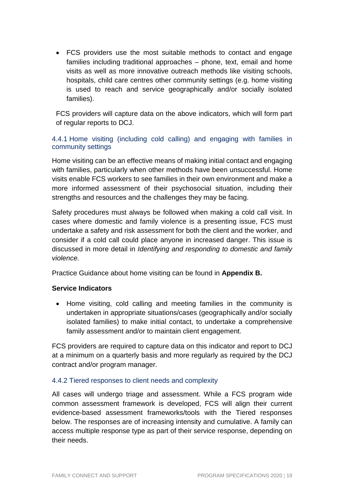• FCS providers use the most suitable methods to contact and engage families including traditional approaches – phone, text, email and home visits as well as more innovative outreach methods like visiting schools, hospitals, child care centres other community settings (e.g. home visiting is used to reach and service geographically and/or socially isolated families).

FCS providers will capture data on the above indicators, which will form part of regular reports to DCJ.

#### 4.4.1 Home visiting (including cold calling) and engaging with families in community settings

Home visiting can be an effective means of making initial contact and engaging with families, particularly when other methods have been unsuccessful. Home visits enable FCS workers to see families in their own environment and make a more informed assessment of their psychosocial situation, including their strengths and resources and the challenges they may be facing.

Safety procedures must always be followed when making a cold call visit. In cases where domestic and family violence is a presenting issue, FCS must undertake a safety and risk assessment for both the client and the worker, and consider if a cold call could place anyone in increased danger. This issue is discussed in more detail in Identifying and responding to domestic and family violence.

Practice Guidance about home visiting can be found in **Appendix B.**

#### **Service Indicators**

• Home visiting, cold calling and meeting families in the community is undertaken in appropriate situations/cases (geographically and/or socially isolated families) to make initial contact, to undertake a comprehensive family assessment and/or to maintain client engagement.

FCS providers are required to capture data on this indicator and report to DCJ at a minimum on a quarterly basis and more regularly as required by the DCJ contract and/or program manager.

#### 4.4.2 Tiered responses to client needs and complexity

All cases will undergo triage and assessment. While a FCS program wide common assessment framework is developed, FCS will align their current evidence-based assessment frameworks/tools with the Tiered responses below. The responses are of increasing intensity and cumulative. A family can access multiple response type as part of their service response, depending on their needs.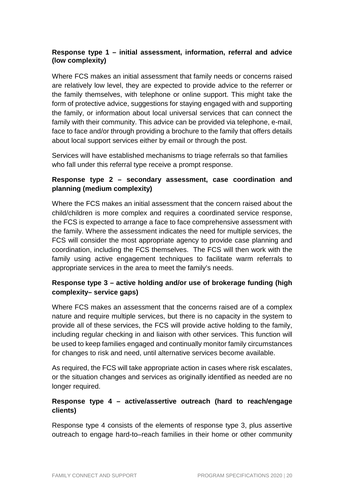#### **Response type 1 – initial assessment, information, referral and advice (low complexity)**

Where FCS makes an initial assessment that family needs or concerns raised are relatively low level, they are expected to provide advice to the referrer or the family themselves, with telephone or online support. This might take the form of protective advice, suggestions for staying engaged with and supporting the family, or information about local universal services that can connect the family with their community. This advice can be provided via telephone, e-mail, face to face and/or through providing a brochure to the family that offers details about local support services either by email or through the post.

Services will have established mechanisms to triage referrals so that families who fall under this referral type receive a prompt response.

#### **Response type 2 – secondary assessment, case coordination and planning (medium complexity)**

Where the FCS makes an initial assessment that the concern raised about the child/children is more complex and requires a coordinated service response, the FCS is expected to arrange a face to face comprehensive assessment with the family. Where the assessment indicates the need for multiple services, the FCS will consider the most appropriate agency to provide case planning and coordination, including the FCS themselves. The FCS will then work with the family using active engagement techniques to facilitate warm referrals to appropriate services in the area to meet the family's needs.

#### **Response type 3 – active holding and/or use of brokerage funding (high complexity– service gaps)**

Where FCS makes an assessment that the concerns raised are of a complex nature and require multiple services, but there is no capacity in the system to provide all of these services, the FCS will provide active holding to the family, including regular checking in and liaison with other services. This function will be used to keep families engaged and continually monitor family circumstances for changes to risk and need, until alternative services become available.

As required, the FCS will take appropriate action in cases where risk escalates, or the situation changes and services as originally identified as needed are no longer required.

#### **Response type 4 – active/assertive outreach (hard to reach/engage clients)**

Response type 4 consists of the elements of response type 3, plus assertive outreach to engage hard-to–reach families in their home or other community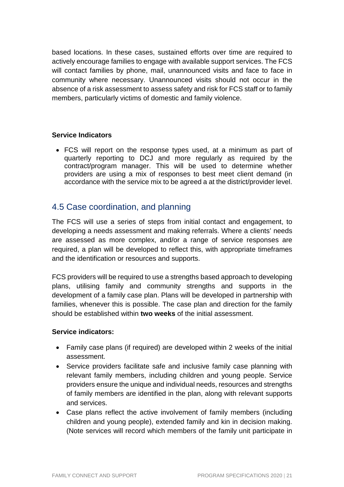based locations. In these cases, sustained efforts over time are required to actively encourage families to engage with available support services. The FCS will contact families by phone, mail, unannounced visits and face to face in community where necessary. Unannounced visits should not occur in the absence of a risk assessment to assess safety and risk for FCS staff or to family members, particularly victims of domestic and family violence.

#### **Service Indicators**

• FCS will report on the response types used, at a minimum as part of quarterly reporting to DCJ and more regularly as required by the contract/program manager. This will be used to determine whether providers are using a mix of responses to best meet client demand (in accordance with the service mix to be agreed a at the district/provider level.

## 4.5 Case coordination, and planning

The FCS will use a series of steps from initial contact and engagement, to developing a needs assessment and making referrals. Where a clients' needs are assessed as more complex, and/or a range of service responses are required, a plan will be developed to reflect this, with appropriate timeframes and the identification or resources and supports.

FCS providers will be required to use a strengths based approach to developing plans, utilising family and community strengths and supports in the development of a family case plan. Plans will be developed in partnership with families, whenever this is possible. The case plan and direction for the family should be established within **two weeks** of the initial assessment.

#### **Service indicators:**

- Family case plans (if required) are developed within 2 weeks of the initial assessment.
- Service providers facilitate safe and inclusive family case planning with relevant family members, including children and young people. Service providers ensure the unique and individual needs, resources and strengths of family members are identified in the plan, along with relevant supports and services.
- Case plans reflect the active involvement of family members (including children and young people), extended family and kin in decision making. (Note services will record which members of the family unit participate in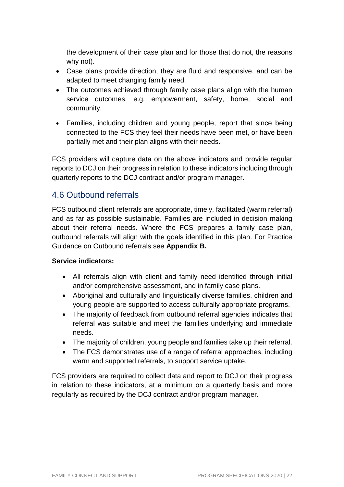the development of their case plan and for those that do not, the reasons why not).

- Case plans provide direction, they are fluid and responsive, and can be adapted to meet changing family need.
- The outcomes achieved through family case plans align with the human service outcomes, e.g. empowerment, safety, home, social and community.
- Families, including children and young people, report that since being connected to the FCS they feel their needs have been met, or have been partially met and their plan aligns with their needs.

FCS providers will capture data on the above indicators and provide regular reports to DCJ on their progress in relation to these indicators including through quarterly reports to the DCJ contract and/or program manager.

## 4.6 Outbound referrals

FCS outbound client referrals are appropriate, timely, facilitated (warm referral) and as far as possible sustainable. Families are included in decision making about their referral needs. Where the FCS prepares a family case plan, outbound referrals will align with the goals identified in this plan. For Practice Guidance on Outbound referrals see **Appendix B.**

#### **Service indicators:**

- All referrals align with client and family need identified through initial and/or comprehensive assessment, and in family case plans.
- Aboriginal and culturally and linguistically diverse families, children and young people are supported to access culturally appropriate programs.
- The majority of feedback from outbound referral agencies indicates that referral was suitable and meet the families underlying and immediate needs.
- The majority of children, young people and families take up their referral.
- The FCS demonstrates use of a range of referral approaches, including warm and supported referrals, to support service uptake.

FCS providers are required to collect data and report to DCJ on their progress in relation to these indicators, at a minimum on a quarterly basis and more regularly as required by the DCJ contract and/or program manager.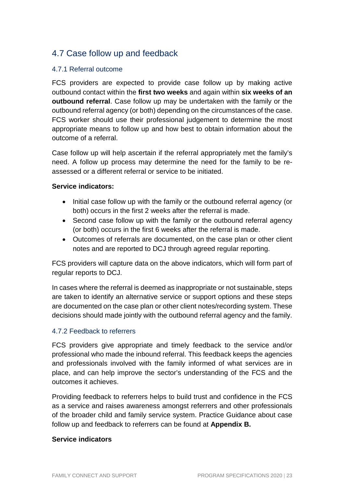## 4.7 Case follow up and feedback

#### 4.7.1 Referral outcome

FCS providers are expected to provide case follow up by making active outbound contact within the **first two weeks** and again within **six weeks of an outbound referral**. Case follow up may be undertaken with the family or the outbound referral agency (or both) depending on the circumstances of the case. FCS worker should use their professional judgement to determine the most appropriate means to follow up and how best to obtain information about the outcome of a referral.

Case follow up will help ascertain if the referral appropriately met the family's need. A follow up process may determine the need for the family to be reassessed or a different referral or service to be initiated.

#### **Service indicators:**

- Initial case follow up with the family or the outbound referral agency (or both) occurs in the first 2 weeks after the referral is made.
- Second case follow up with the family or the outbound referral agency (or both) occurs in the first 6 weeks after the referral is made.
- Outcomes of referrals are documented, on the case plan or other client notes and are reported to DCJ through agreed regular reporting.

FCS providers will capture data on the above indicators, which will form part of regular reports to DCJ.

In cases where the referral is deemed as inappropriate or not sustainable, steps are taken to identify an alternative service or support options and these steps are documented on the case plan or other client notes/recording system. These decisions should made jointly with the outbound referral agency and the family.

#### 4.7.2 Feedback to referrers

FCS providers give appropriate and timely feedback to the service and/or professional who made the inbound referral. This feedback keeps the agencies and professionals involved with the family informed of what services are in place, and can help improve the sector's understanding of the FCS and the outcomes it achieves.

Providing feedback to referrers helps to build trust and confidence in the FCS as a service and raises awareness amongst referrers and other professionals of the broader child and family service system. Practice Guidance about case follow up and feedback to referrers can be found at **Appendix B.**

#### **Service indicators**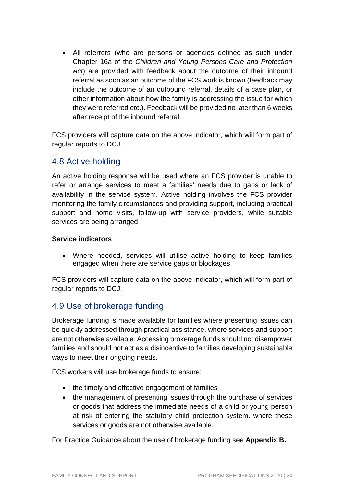• All referrers (who are persons or agencies defined as such under Chapter 16a of the Children and Young Persons Care and Protection Act) are provided with feedback about the outcome of their inbound referral as soon as an outcome of the FCS work is known (feedback may include the outcome of an outbound referral, details of a case plan, or other information about how the family is addressing the issue for which they were referred etc.). Feedback will be provided no later than 6 weeks after receipt of the inbound referral.

FCS providers will capture data on the above indicator, which will form part of regular reports to DCJ.

## 4.8 Active holding

An active holding response will be used where an FCS provider is unable to refer or arrange services to meet a families' needs due to gaps or lack of availability in the service system. Active holding involves the FCS provider monitoring the family circumstances and providing support, including practical support and home visits, follow-up with service providers, while suitable services are being arranged.

#### **Service indicators**

• Where needed, services will utilise active holding to keep families engaged when there are service gaps or blockages.

FCS providers will capture data on the above indicator, which will form part of regular reports to DCJ.

## 4.9 Use of brokerage funding

Brokerage funding is made available for families where presenting issues can be quickly addressed through practical assistance, where services and support are not otherwise available. Accessing brokerage funds should not disempower families and should not act as a disincentive to families developing sustainable ways to meet their ongoing needs.

FCS workers will use brokerage funds to ensure:

- the timely and effective engagement of families
- the management of presenting issues through the purchase of services or goods that address the immediate needs of a child or young person at risk of entering the statutory child protection system, where these services or goods are not otherwise available.

For Practice Guidance about the use of brokerage funding see **Appendix B.**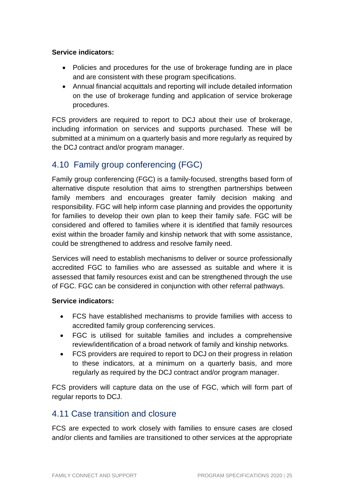#### **Service indicators:**

- Policies and procedures for the use of brokerage funding are in place and are consistent with these program specifications.
- Annual financial acquittals and reporting will include detailed information on the use of brokerage funding and application of service brokerage procedures.

FCS providers are required to report to DCJ about their use of brokerage, including information on services and supports purchased. These will be submitted at a minimum on a quarterly basis and more regularly as required by the DCJ contract and/or program manager.

## 4.10 Family group conferencing (FGC)

Family group conferencing (FGC) is a family-focused, strengths based form of alternative dispute resolution that aims to strengthen partnerships between family members and encourages greater family decision making and responsibility. FGC will help inform case planning and provides the opportunity for families to develop their own plan to keep their family safe. FGC will be considered and offered to families where it is identified that family resources exist within the broader family and kinship network that with some assistance, could be strengthened to address and resolve family need.

Services will need to establish mechanisms to deliver or source professionally accredited FGC to families who are assessed as suitable and where it is assessed that family resources exist and can be strengthened through the use of FGC. FGC can be considered in conjunction with other referral pathways.

#### **Service indicators:**

- FCS have established mechanisms to provide families with access to accredited family group conferencing services.
- FGC is utilised for suitable families and includes a comprehensive review/identification of a broad network of family and kinship networks.
- FCS providers are required to report to DCJ on their progress in relation to these indicators, at a minimum on a quarterly basis, and more regularly as required by the DCJ contract and/or program manager.

FCS providers will capture data on the use of FGC, which will form part of regular reports to DCJ.

## 4.11 Case transition and closure

FCS are expected to work closely with families to ensure cases are closed and/or clients and families are transitioned to other services at the appropriate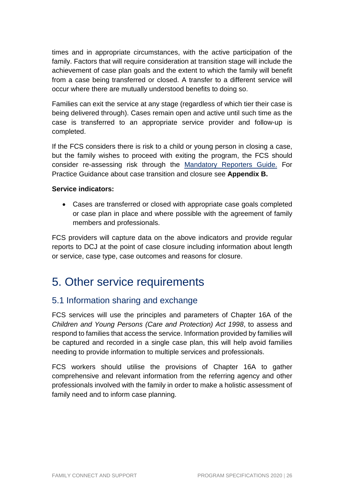times and in appropriate circumstances, with the active participation of the family. Factors that will require consideration at transition stage will include the achievement of case plan goals and the extent to which the family will benefit from a case being transferred or closed. A transfer to a different service will occur where there are mutually understood benefits to doing so.

Families can exit the service at any stage (regardless of which tier their case is being delivered through). Cases remain open and active until such time as the case is transferred to an appropriate service provider and follow-up is completed.

If the FCS considers there is risk to a child or young person in closing a case, but the family wishes to proceed with exiting the program, the FCS should consider re-assessing risk through the Mandatory Reporters Guide. For Practice Guidance about case transition and closure see **Appendix B.**

#### **Service indicators:**

• Cases are transferred or closed with appropriate case goals completed or case plan in place and where possible with the agreement of family members and professionals.

FCS providers will capture data on the above indicators and provide regular reports to DCJ at the point of case closure including information about length or service, case type, case outcomes and reasons for closure.

## 5. Other service requirements

## 5.1 Information sharing and exchange

FCS services will use the principles and parameters of Chapter 16A of the Children and Young Persons (Care and Protection) Act 1998, to assess and respond to families that access the service. Information provided by families will be captured and recorded in a single case plan, this will help avoid families needing to provide information to multiple services and professionals.

FCS workers should utilise the provisions of Chapter 16A to gather comprehensive and relevant information from the referring agency and other professionals involved with the family in order to make a holistic assessment of family need and to inform case planning.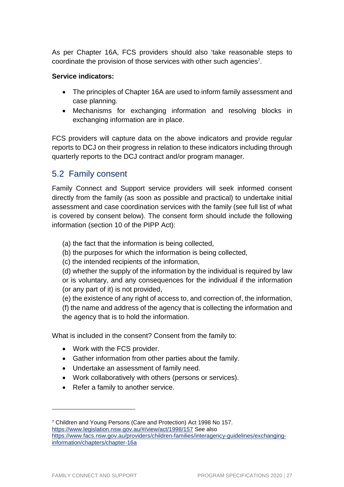As per Chapter 16A, FCS providers should also 'take reasonable steps to coordinate the provision of those services with other such agencies<sup>7</sup>.

#### **Service indicators:**

- The principles of Chapter 16A are used to inform family assessment and case planning.
- Mechanisms for exchanging information and resolving blocks in exchanging information are in place.

FCS providers will capture data on the above indicators and provide regular reports to DCJ on their progress in relation to these indicators including through quarterly reports to the DCJ contract and/or program manager.

## 5.2 Family consent

Family Connect and Support service providers will seek informed consent directly from the family (as soon as possible and practical) to undertake initial assessment and case coordination services with the family (see full list of what is covered by consent below). The consent form should include the following information (section 10 of the PIPP Act):

(a) the fact that the information is being collected,

(b) the purposes for which the information is being collected,

(c) the intended recipients of the information,

(d) whether the supply of the information by the individual is required by law or is voluntary, and any consequences for the individual if the information (or any part of it) is not provided,

(e) the existence of any right of access to, and correction of, the information, (f) the name and address of the agency that is collecting the information and the agency that is to hold the information.

What is included in the consent? Consent from the family to:

- Work with the FCS provider.
- Gather information from other parties about the family.
- Undertake an assessment of family need.
- Work collaboratively with others (persons or services).
- Refer a family to another service.

<sup>7</sup> Children and Young Persons (Care and Protection) Act 1998 No 157. https://www.legislation.nsw.gov.au/#/view/act/1998/157 See also https://www.facs.nsw.gov.au/providers/children-families/interagency-guidelines/exchanginginformation/chapters/chapter-16a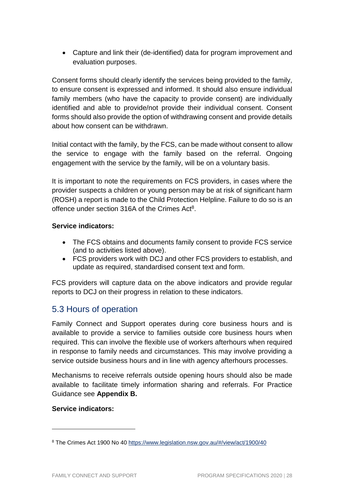• Capture and link their (de-identified) data for program improvement and evaluation purposes.

Consent forms should clearly identify the services being provided to the family, to ensure consent is expressed and informed. It should also ensure individual family members (who have the capacity to provide consent) are individually identified and able to provide/not provide their individual consent. Consent forms should also provide the option of withdrawing consent and provide details about how consent can be withdrawn.

Initial contact with the family, by the FCS, can be made without consent to allow the service to engage with the family based on the referral. Ongoing engagement with the service by the family, will be on a voluntary basis.

It is important to note the requirements on FCS providers, in cases where the provider suspects a children or young person may be at risk of significant harm (ROSH) a report is made to the Child Protection Helpline. Failure to do so is an offence under section 316A of the Crimes Act<sup>8</sup>.

#### **Service indicators:**

- The FCS obtains and documents family consent to provide FCS service (and to activities listed above).
- FCS providers work with DCJ and other FCS providers to establish, and update as required, standardised consent text and form.

FCS providers will capture data on the above indicators and provide regular reports to DCJ on their progress in relation to these indicators.

## 5.3 Hours of operation

Family Connect and Support operates during core business hours and is available to provide a service to families outside core business hours when required. This can involve the flexible use of workers afterhours when required in response to family needs and circumstances. This may involve providing a service outside business hours and in line with agency afterhours processes.

Mechanisms to receive referrals outside opening hours should also be made available to facilitate timely information sharing and referrals. For Practice Guidance see **Appendix B.**

#### **Service indicators:**

<sup>&</sup>lt;sup>8</sup> The Crimes Act 1900 No 40 https://www.legislation.nsw.gov.au/#/view/act/1900/40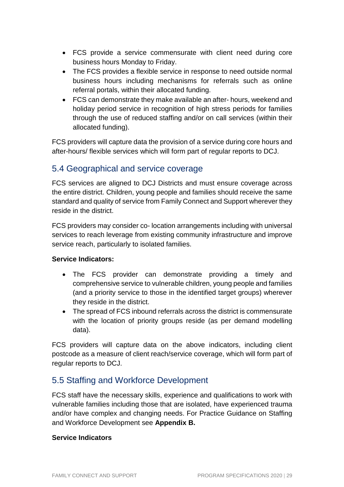- FCS provide a service commensurate with client need during core business hours Monday to Friday.
- The FCS provides a flexible service in response to need outside normal business hours including mechanisms for referrals such as online referral portals, within their allocated funding.
- FCS can demonstrate they make available an after- hours, weekend and holiday period service in recognition of high stress periods for families through the use of reduced staffing and/or on call services (within their allocated funding).

FCS providers will capture data the provision of a service during core hours and after-hours/ flexible services which will form part of regular reports to DCJ.

## 5.4 Geographical and service coverage

FCS services are aligned to DCJ Districts and must ensure coverage across the entire district. Children, young people and families should receive the same standard and quality of service from Family Connect and Support wherever they reside in the district.

FCS providers may consider co- location arrangements including with universal services to reach leverage from existing community infrastructure and improve service reach, particularly to isolated families.

#### **Service Indicators:**

- The FCS provider can demonstrate providing a timely and comprehensive service to vulnerable children, young people and families (and a priority service to those in the identified target groups) wherever they reside in the district.
- The spread of FCS inbound referrals across the district is commensurate with the location of priority groups reside (as per demand modelling data).

FCS providers will capture data on the above indicators, including client postcode as a measure of client reach/service coverage, which will form part of regular reports to DCJ.

## 5.5 Staffing and Workforce Development

FCS staff have the necessary skills, experience and qualifications to work with vulnerable families including those that are isolated, have experienced trauma and/or have complex and changing needs. For Practice Guidance on Staffing and Workforce Development see **Appendix B.**

#### **Service Indicators**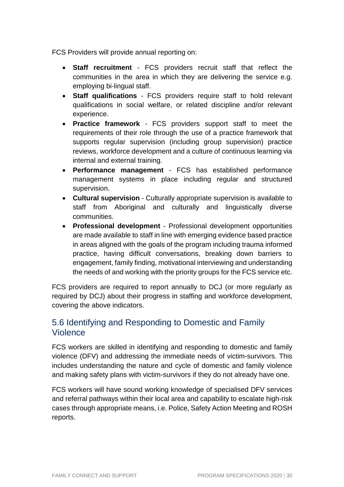FCS Providers will provide annual reporting on:

- **Staff recruitment** FCS providers recruit staff that reflect the communities in the area in which they are delivering the service e.g. employing bi-lingual staff.
- **Staff qualifications**  FCS providers require staff to hold relevant qualifications in social welfare, or related discipline and/or relevant experience.
- **Practice framework**  FCS providers support staff to meet the requirements of their role through the use of a practice framework that supports regular supervision (including group supervision) practice reviews, workforce development and a culture of continuous learning via internal and external training.
- **Performance management** FCS has established performance management systems in place including regular and structured supervision.
- **Cultural supervision** Culturally appropriate supervision is available to staff from Aboriginal and culturally and linguistically diverse communities.
- **Professional development** Professional development opportunities are made available to staff in line with emerging evidence based practice in areas aligned with the goals of the program including trauma informed practice, having difficult conversations, breaking down barriers to engagement, family finding, motivational interviewing and understanding the needs of and working with the priority groups for the FCS service etc.

FCS providers are required to report annually to DCJ (or more regularly as required by DCJ) about their progress in staffing and workforce development, covering the above indicators.

## 5.6 Identifying and Responding to Domestic and Family Violence

FCS workers are skilled in identifying and responding to domestic and family violence (DFV) and addressing the immediate needs of victim-survivors. This includes understanding the nature and cycle of domestic and family violence and making safety plans with victim-survivors if they do not already have one.

FCS workers will have sound working knowledge of specialised DFV services and referral pathways within their local area and capability to escalate high-risk cases through appropriate means, i.e. Police, Safety Action Meeting and ROSH reports.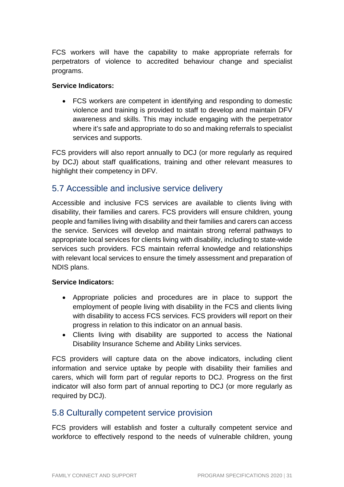FCS workers will have the capability to make appropriate referrals for perpetrators of violence to accredited behaviour change and specialist programs.

#### **Service Indicators:**

• FCS workers are competent in identifying and responding to domestic violence and training is provided to staff to develop and maintain DFV awareness and skills. This may include engaging with the perpetrator where it's safe and appropriate to do so and making referrals to specialist services and supports.

FCS providers will also report annually to DCJ (or more regularly as required by DCJ) about staff qualifications, training and other relevant measures to highlight their competency in DFV.

## 5.7 Accessible and inclusive service delivery

Accessible and inclusive FCS services are available to clients living with disability, their families and carers. FCS providers will ensure children, young people and families living with disability and their families and carers can access the service. Services will develop and maintain strong referral pathways to appropriate local services for clients living with disability, including to state-wide services such providers. FCS maintain referral knowledge and relationships with relevant local services to ensure the timely assessment and preparation of NDIS plans.

#### **Service Indicators:**

- Appropriate policies and procedures are in place to support the employment of people living with disability in the FCS and clients living with disability to access FCS services. FCS providers will report on their progress in relation to this indicator on an annual basis.
- Clients living with disability are supported to access the National Disability Insurance Scheme and Ability Links services.

FCS providers will capture data on the above indicators, including client information and service uptake by people with disability their families and carers, which will form part of regular reports to DCJ. Progress on the first indicator will also form part of annual reporting to DCJ (or more regularly as required by DCJ).

## 5.8 Culturally competent service provision

FCS providers will establish and foster a culturally competent service and workforce to effectively respond to the needs of vulnerable children, young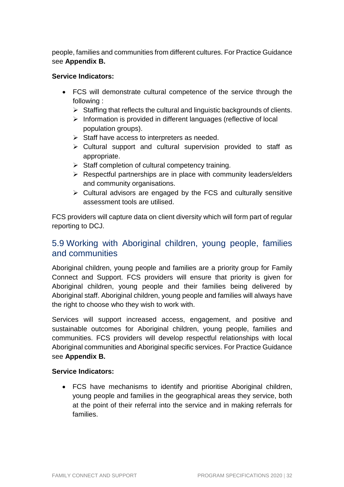people, families and communities from different cultures. For Practice Guidance see **Appendix B.**

#### **Service Indicators:**

- FCS will demonstrate cultural competence of the service through the following :
	- $\triangleright$  Staffing that reflects the cultural and linguistic backgrounds of clients.
	- $\triangleright$  Information is provided in different languages (reflective of local population groups).
	- $\triangleright$  Staff have access to interpreters as needed.
	- $\triangleright$  Cultural support and cultural supervision provided to staff as appropriate.
	- $\triangleright$  Staff completion of cultural competency training.
	- $\triangleright$  Respectful partnerships are in place with community leaders/elders and community organisations.
	- $\triangleright$  Cultural advisors are engaged by the FCS and culturally sensitive assessment tools are utilised.

FCS providers will capture data on client diversity which will form part of regular reporting to DCJ.

## 5.9 Working with Aboriginal children, young people, families and communities

Aboriginal children, young people and families are a priority group for Family Connect and Support. FCS providers will ensure that priority is given for Aboriginal children, young people and their families being delivered by Aboriginal staff. Aboriginal children, young people and families will always have the right to choose who they wish to work with.

Services will support increased access, engagement, and positive and sustainable outcomes for Aboriginal children, young people, families and communities. FCS providers will develop respectful relationships with local Aboriginal communities and Aboriginal specific services. For Practice Guidance see **Appendix B.** 

#### **Service Indicators:**

• FCS have mechanisms to identify and prioritise Aboriginal children, young people and families in the geographical areas they service, both at the point of their referral into the service and in making referrals for families.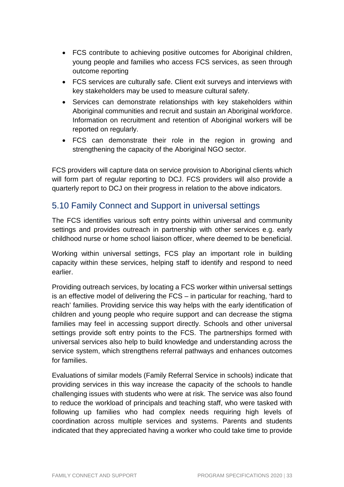- FCS contribute to achieving positive outcomes for Aboriginal children, young people and families who access FCS services, as seen through outcome reporting
- FCS services are culturally safe. Client exit surveys and interviews with key stakeholders may be used to measure cultural safety.
- Services can demonstrate relationships with key stakeholders within Aboriginal communities and recruit and sustain an Aboriginal workforce. Information on recruitment and retention of Aboriginal workers will be reported on regularly.
- FCS can demonstrate their role in the region in growing and strengthening the capacity of the Aboriginal NGO sector.

FCS providers will capture data on service provision to Aboriginal clients which will form part of regular reporting to DCJ. FCS providers will also provide a quarterly report to DCJ on their progress in relation to the above indicators.

## 5.10 Family Connect and Support in universal settings

The FCS identifies various soft entry points within universal and community settings and provides outreach in partnership with other services e.g. early childhood nurse or home school liaison officer, where deemed to be beneficial.

Working within universal settings, FCS play an important role in building capacity within these services, helping staff to identify and respond to need earlier.

Providing outreach services, by locating a FCS worker within universal settings is an effective model of delivering the FCS – in particular for reaching, 'hard to reach' families. Providing service this way helps with the early identification of children and young people who require support and can decrease the stigma families may feel in accessing support directly. Schools and other universal settings provide soft entry points to the FCS. The partnerships formed with universal services also help to build knowledge and understanding across the service system, which strengthens referral pathways and enhances outcomes for families.

Evaluations of similar models (Family Referral Service in schools) indicate that providing services in this way increase the capacity of the schools to handle challenging issues with students who were at risk. The service was also found to reduce the workload of principals and teaching staff, who were tasked with following up families who had complex needs requiring high levels of coordination across multiple services and systems. Parents and students indicated that they appreciated having a worker who could take time to provide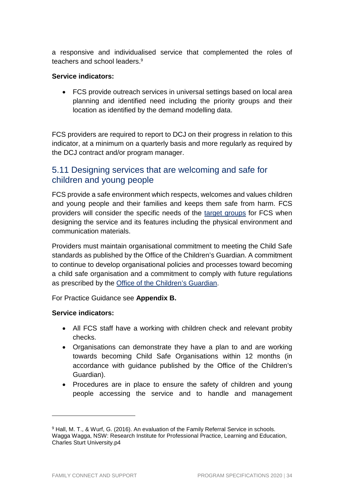a responsive and individualised service that complemented the roles of teachers and school leaders.<sup>9</sup>

#### **Service indicators:**

• FCS provide outreach services in universal settings based on local area planning and identified need including the priority groups and their location as identified by the demand modelling data.

FCS providers are required to report to DCJ on their progress in relation to this indicator, at a minimum on a quarterly basis and more regularly as required by the DCJ contract and/or program manager.

## 5.11 Designing services that are welcoming and safe for children and young people

FCS provide a safe environment which respects, welcomes and values children and young people and their families and keeps them safe from harm. FCS providers will consider the specific needs of the target groups for FCS when designing the service and its features including the physical environment and communication materials.

Providers must maintain organisational commitment to meeting the Child Safe standards as published by the Office of the Children's Guardian. A commitment to continue to develop organisational policies and processes toward becoming a child safe organisation and a commitment to comply with future regulations as prescribed by the Office of the Children's Guardian.

#### For Practice Guidance see **Appendix B.**

#### **Service indicators:**

- All FCS staff have a working with children check and relevant probity checks.
- Organisations can demonstrate they have a plan to and are working towards becoming Child Safe Organisations within 12 months (in accordance with guidance published by the Office of the Children's Guardian).
- Procedures are in place to ensure the safety of children and young people accessing the service and to handle and management

<sup>&</sup>lt;sup>9</sup> Hall, M. T., & Wurf, G. (2016). An evaluation of the Family Referral Service in schools. Wagga Wagga, NSW: Research Institute for Professional Practice, Learning and Education, Charles Sturt University.p4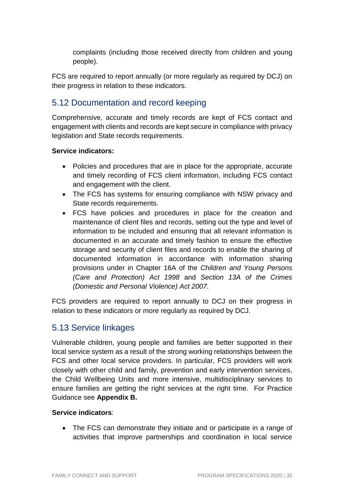complaints (including those received directly from children and young people).

FCS are required to report annually (or more regularly as required by DCJ) on their progress in relation to these indicators.

## 5.12 Documentation and record keeping

Comprehensive, accurate and timely records are kept of FCS contact and engagement with clients and records are kept secure in compliance with privacy legislation and State records requirements.

#### **Service indicators:**

- Policies and procedures that are in place for the appropriate, accurate and timely recording of FCS client information, including FCS contact and engagement with the client.
- The FCS has systems for ensuring compliance with NSW privacy and State records requirements.
- FCS have policies and procedures in place for the creation and maintenance of client files and records, setting out the type and level of information to be included and ensuring that all relevant information is documented in an accurate and timely fashion to ensure the effective storage and security of client files and records to enable the sharing of documented information in accordance with information sharing provisions under in Chapter 16A of the Children and Young Persons (Care and Protection) Act 1998 and Section 13A of the Crimes (Domestic and Personal Violence) Act 2007.

FCS providers are required to report annually to DCJ on their progress in relation to these indicators or more regularly as required by DCJ.

## 5.13 Service linkages

Vulnerable children, young people and families are better supported in their local service system as a result of the strong working relationships between the FCS and other local service providers. In particular, FCS providers will work closely with other child and family, prevention and early intervention services, the Child Wellbeing Units and more intensive, multidisciplinary services to ensure families are getting the right services at the right time. For Practice Guidance see **Appendix B.**

#### **Service indicators**:

• The FCS can demonstrate they initiate and or participate in a range of activities that improve partnerships and coordination in local service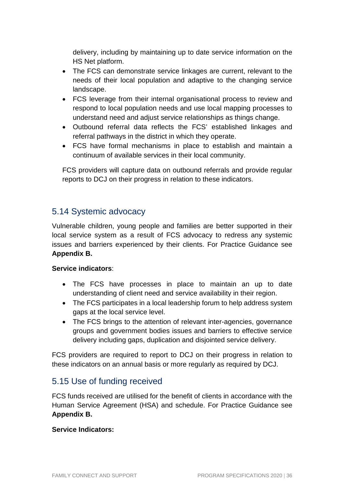delivery, including by maintaining up to date service information on the HS Net platform.

- The FCS can demonstrate service linkages are current, relevant to the needs of their local population and adaptive to the changing service landscape.
- FCS leverage from their internal organisational process to review and respond to local population needs and use local mapping processes to understand need and adjust service relationships as things change.
- Outbound referral data reflects the FCS' established linkages and referral pathways in the district in which they operate.
- FCS have formal mechanisms in place to establish and maintain a continuum of available services in their local community.

FCS providers will capture data on outbound referrals and provide regular reports to DCJ on their progress in relation to these indicators.

## 5.14 Systemic advocacy

Vulnerable children, young people and families are better supported in their local service system as a result of FCS advocacy to redress any systemic issues and barriers experienced by their clients. For Practice Guidance see **Appendix B.**

#### **Service indicators**:

- The FCS have processes in place to maintain an up to date understanding of client need and service availability in their region.
- The FCS participates in a local leadership forum to help address system gaps at the local service level.
- The FCS brings to the attention of relevant inter-agencies, governance groups and government bodies issues and barriers to effective service delivery including gaps, duplication and disjointed service delivery.

FCS providers are required to report to DCJ on their progress in relation to these indicators on an annual basis or more regularly as required by DCJ.

## 5.15 Use of funding received

FCS funds received are utilised for the benefit of clients in accordance with the Human Service Agreement (HSA) and schedule. For Practice Guidance see **Appendix B.**

#### **Service Indicators:**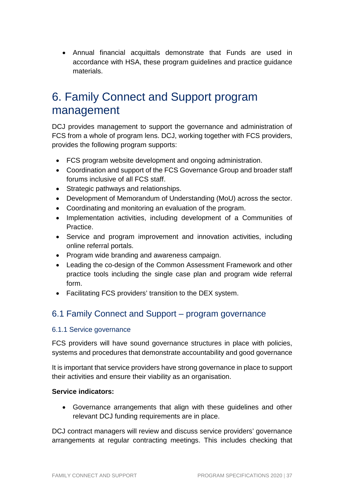• Annual financial acquittals demonstrate that Funds are used in accordance with HSA, these program guidelines and practice guidance materials.

## 6. Family Connect and Support program management

DCJ provides management to support the governance and administration of FCS from a whole of program lens. DCJ, working together with FCS providers, provides the following program supports:

- FCS program website development and ongoing administration.
- Coordination and support of the FCS Governance Group and broader staff forums inclusive of all FCS staff.
- Strategic pathways and relationships.
- Development of Memorandum of Understanding (MoU) across the sector.
- Coordinating and monitoring an evaluation of the program.
- Implementation activities, including development of a Communities of Practice.
- Service and program improvement and innovation activities, including online referral portals.
- Program wide branding and awareness campaign.
- Leading the co-design of the Common Assessment Framework and other practice tools including the single case plan and program wide referral form.
- Facilitating FCS providers' transition to the DEX system.

## 6.1 Family Connect and Support – program governance

#### 6.1.1 Service governance

FCS providers will have sound governance structures in place with policies, systems and procedures that demonstrate accountability and good governance

It is important that service providers have strong governance in place to support their activities and ensure their viability as an organisation.

#### **Service indicators:**

• Governance arrangements that align with these guidelines and other relevant DCJ funding requirements are in place.

DCJ contract managers will review and discuss service providers' governance arrangements at regular contracting meetings. This includes checking that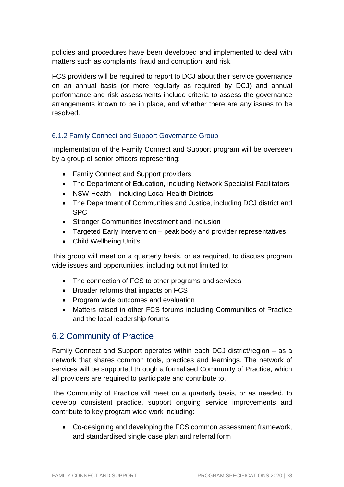policies and procedures have been developed and implemented to deal with matters such as complaints, fraud and corruption, and risk.

FCS providers will be required to report to DCJ about their service governance on an annual basis (or more regularly as required by DCJ) and annual performance and risk assessments include criteria to assess the governance arrangements known to be in place, and whether there are any issues to be resolved.

#### 6.1.2 Family Connect and Support Governance Group

Implementation of the Family Connect and Support program will be overseen by a group of senior officers representing:

- Family Connect and Support providers
- The Department of Education, including Network Specialist Facilitators
- NSW Health including Local Health Districts
- The Department of Communities and Justice, including DCJ district and SPC
- Stronger Communities Investment and Inclusion
- Targeted Early Intervention peak body and provider representatives
- Child Wellbeing Unit's

This group will meet on a quarterly basis, or as required, to discuss program wide issues and opportunities, including but not limited to:

- The connection of FCS to other programs and services
- Broader reforms that impacts on FCS
- Program wide outcomes and evaluation
- Matters raised in other FCS forums including Communities of Practice and the local leadership forums

## 6.2 Community of Practice

Family Connect and Support operates within each DCJ district/region – as a network that shares common tools, practices and learnings. The network of services will be supported through a formalised Community of Practice, which all providers are required to participate and contribute to.

The Community of Practice will meet on a quarterly basis, or as needed, to develop consistent practice, support ongoing service improvements and contribute to key program wide work including:

• Co-designing and developing the FCS common assessment framework, and standardised single case plan and referral form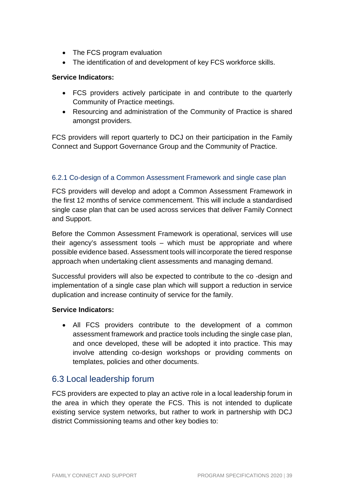- The FCS program evaluation
- The identification of and development of key FCS workforce skills.

#### **Service Indicators:**

- FCS providers actively participate in and contribute to the quarterly Community of Practice meetings.
- Resourcing and administration of the Community of Practice is shared amongst providers.

FCS providers will report quarterly to DCJ on their participation in the Family Connect and Support Governance Group and the Community of Practice.

#### 6.2.1 Co-design of a Common Assessment Framework and single case plan

FCS providers will develop and adopt a Common Assessment Framework in the first 12 months of service commencement. This will include a standardised single case plan that can be used across services that deliver Family Connect and Support.

Before the Common Assessment Framework is operational, services will use their agency's assessment tools – which must be appropriate and where possible evidence based. Assessment tools will incorporate the tiered response approach when undertaking client assessments and managing demand.

Successful providers will also be expected to contribute to the co -design and implementation of a single case plan which will support a reduction in service duplication and increase continuity of service for the family.

#### **Service Indicators:**

• All FCS providers contribute to the development of a common assessment framework and practice tools including the single case plan, and once developed, these will be adopted it into practice. This may involve attending co-design workshops or providing comments on templates, policies and other documents.

#### 6.3 Local leadership forum

FCS providers are expected to play an active role in a local leadership forum in the area in which they operate the FCS. This is not intended to duplicate existing service system networks, but rather to work in partnership with DCJ district Commissioning teams and other key bodies to: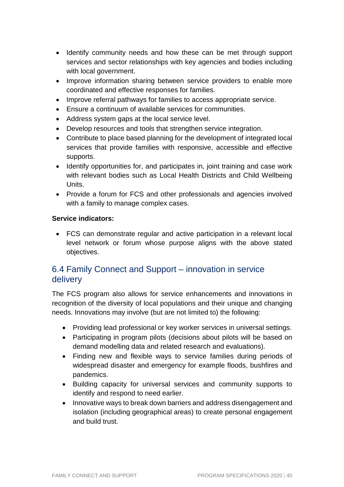- Identify community needs and how these can be met through support services and sector relationships with key agencies and bodies including with local government.
- Improve information sharing between service providers to enable more coordinated and effective responses for families.
- Improve referral pathways for families to access appropriate service.
- Ensure a continuum of available services for communities.
- Address system gaps at the local service level.
- Develop resources and tools that strengthen service integration.
- Contribute to place based planning for the development of integrated local services that provide families with responsive, accessible and effective supports.
- Identify opportunities for, and participates in, joint training and case work with relevant bodies such as Local Health Districts and Child Wellbeing Units.
- Provide a forum for FCS and other professionals and agencies involved with a family to manage complex cases.

#### **Service indicators:**

• FCS can demonstrate regular and active participation in a relevant local level network or forum whose purpose aligns with the above stated objectives.

## 6.4 Family Connect and Support – innovation in service delivery

The FCS program also allows for service enhancements and innovations in recognition of the diversity of local populations and their unique and changing needs. Innovations may involve (but are not limited to) the following:

- Providing lead professional or key worker services in universal settings.
- Participating in program pilots (decisions about pilots will be based on demand modelling data and related research and evaluations).
- Finding new and flexible ways to service families during periods of widespread disaster and emergency for example floods, bushfires and pandemics.
- Building capacity for universal services and community supports to identify and respond to need earlier.
- Innovative ways to break down barriers and address disengagement and isolation (including geographical areas) to create personal engagement and build trust.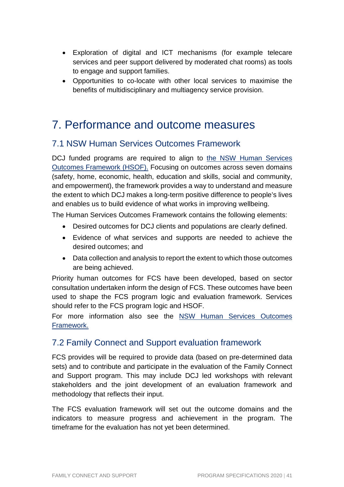- Exploration of digital and ICT mechanisms (for example telecare services and peer support delivered by moderated chat rooms) as tools to engage and support families.
- Opportunities to co-locate with other local services to maximise the benefits of multidisciplinary and multiagency service provision.

## 7. Performance and outcome measures

## 7.1 NSW Human Services Outcomes Framework

DCJ funded programs are required to align to the NSW Human Services Outcomes Framework (HSOF). Focusing on outcomes across seven domains (safety, home, economic, health, education and skills, social and community, and empowerment), the framework provides a way to understand and measure the extent to which DCJ makes a long-term positive difference to people's lives and enables us to build evidence of what works in improving wellbeing.

The Human Services Outcomes Framework contains the following elements:

- Desired outcomes for DCJ clients and populations are clearly defined.
- Evidence of what services and supports are needed to achieve the desired outcomes; and
- Data collection and analysis to report the extent to which those outcomes are being achieved.

Priority human outcomes for FCS have been developed, based on sector consultation undertaken inform the design of FCS. These outcomes have been used to shape the FCS program logic and evaluation framework. Services should refer to the FCS program logic and HSOF.

For more information also see the NSW Human Services Outcomes Framework.

## 7.2 Family Connect and Support evaluation framework

FCS provides will be required to provide data (based on pre-determined data sets) and to contribute and participate in the evaluation of the Family Connect and Support program. This may include DCJ led workshops with relevant stakeholders and the joint development of an evaluation framework and methodology that reflects their input.

The FCS evaluation framework will set out the outcome domains and the indicators to measure progress and achievement in the program. The timeframe for the evaluation has not yet been determined.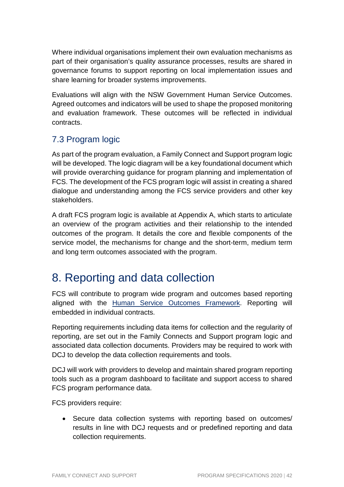Where individual organisations implement their own evaluation mechanisms as part of their organisation's quality assurance processes, results are shared in governance forums to support reporting on local implementation issues and share learning for broader systems improvements.

Evaluations will align with the NSW Government Human Service Outcomes. Agreed outcomes and indicators will be used to shape the proposed monitoring and evaluation framework. These outcomes will be reflected in individual contracts.

## 7.3 Program logic

As part of the program evaluation, a Family Connect and Support program logic will be developed. The logic diagram will be a key foundational document which will provide overarching guidance for program planning and implementation of FCS. The development of the FCS program logic will assist in creating a shared dialogue and understanding among the FCS service providers and other key stakeholders.

A draft FCS program logic is available at Appendix A, which starts to articulate an overview of the program activities and their relationship to the intended outcomes of the program. It details the core and flexible components of the service model, the mechanisms for change and the short-term, medium term and long term outcomes associated with the program.

## 8. Reporting and data collection

FCS will contribute to program wide program and outcomes based reporting aligned with the Human Service Outcomes Framework. Reporting will embedded in individual contracts.

Reporting requirements including data items for collection and the regularity of reporting, are set out in the Family Connects and Support program logic and associated data collection documents. Providers may be required to work with DCJ to develop the data collection requirements and tools.

DCJ will work with providers to develop and maintain shared program reporting tools such as a program dashboard to facilitate and support access to shared FCS program performance data.

FCS providers require:

• Secure data collection systems with reporting based on outcomes/ results in line with DCJ requests and or predefined reporting and data collection requirements.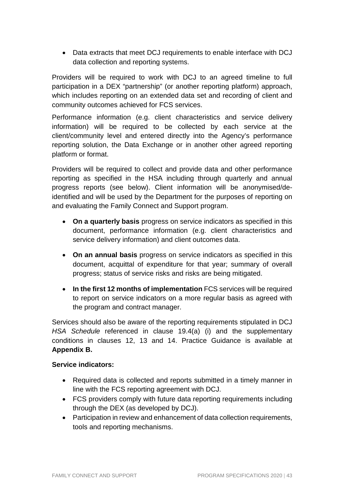• Data extracts that meet DCJ requirements to enable interface with DCJ data collection and reporting systems.

Providers will be required to work with DCJ to an agreed timeline to full participation in a DEX "partnership" (or another reporting platform) approach, which includes reporting on an extended data set and recording of client and community outcomes achieved for FCS services.

Performance information (e.g. client characteristics and service delivery information) will be required to be collected by each service at the client/community level and entered directly into the Agency's performance reporting solution, the Data Exchange or in another other agreed reporting platform or format.

Providers will be required to collect and provide data and other performance reporting as specified in the HSA including through quarterly and annual progress reports (see below). Client information will be anonymised/deidentified and will be used by the Department for the purposes of reporting on and evaluating the Family Connect and Support program.

- **On a quarterly basis** progress on service indicators as specified in this document, performance information (e.g. client characteristics and service delivery information) and client outcomes data.
- **On an annual basis** progress on service indicators as specified in this document, acquittal of expenditure for that year; summary of overall progress; status of service risks and risks are being mitigated.
- **In the first 12 months of implementation** FCS services will be required to report on service indicators on a more regular basis as agreed with the program and contract manager.

Services should also be aware of the reporting requirements stipulated in DCJ HSA Schedule referenced in clause 19.4(a) (i) and the supplementary conditions in clauses 12, 13 and 14. Practice Guidance is available at **Appendix B.**

#### **Service indicators:**

- Required data is collected and reports submitted in a timely manner in line with the FCS reporting agreement with DCJ.
- FCS providers comply with future data reporting requirements including through the DEX (as developed by DCJ).
- Participation in review and enhancement of data collection requirements, tools and reporting mechanisms.